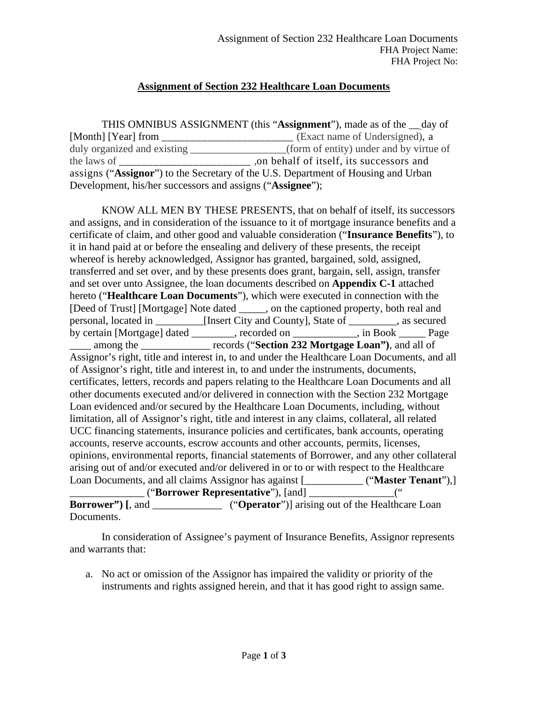## **Assignment of Section 232 Healthcare Loan Documents**

|                                                           | THIS OMNIBUS ASSIGNMENT (this "Assignment"), made as of the <u>__day</u> of       |
|-----------------------------------------------------------|-----------------------------------------------------------------------------------|
|                                                           | (Exact name of Undersigned), a                                                    |
| duly organized and existing                               | (form of entity) under and by virtue of                                           |
| the laws of                                               | on behalf of itself, its successors and                                           |
|                                                           | assigns ("Assignor") to the Secretary of the U.S. Department of Housing and Urban |
| Development, his/her successors and assigns ("Assignee"); |                                                                                   |

KNOW ALL MEN BY THESE PRESENTS, that on behalf of itself, its successors and assigns, and in consideration of the issuance to it of mortgage insurance benefits and a certificate of claim, and other good and valuable consideration ("**Insurance Benefits**"), to it in hand paid at or before the ensealing and delivery of these presents, the receipt whereof is hereby acknowledged, Assignor has granted, bargained, sold, assigned, transferred and set over, and by these presents does grant, bargain, sell, assign, transfer and set over unto Assignee, the loan documents described on **Appendix C-1** attached hereto ("**Healthcare Loan Documents**"), which were executed in connection with the [Deed of Trust] [Mortgage] Note dated \_\_\_\_\_, on the captioned property, both real and personal, located in \_\_\_\_\_\_\_\_\_[Insert City and County], State of \_\_\_\_\_\_\_\_\_, as secured by certain [Mortgage] dated \_\_\_\_\_\_\_\_, recorded on \_\_\_\_\_\_\_\_\_\_\_\_, in Book \_\_\_\_\_ Page \_\_\_\_ among the \_\_\_\_\_\_\_\_\_\_\_\_\_ records ("**Section 232 Mortgage Loan")**, and all of Assignor's right, title and interest in, to and under the Healthcare Loan Documents, and all of Assignor's right, title and interest in, to and under the instruments, documents, certificates, letters, records and papers relating to the Healthcare Loan Documents and all other documents executed and/or delivered in connection with the Section 232 Mortgage Loan evidenced and/or secured by the Healthcare Loan Documents, including, without limitation, all of Assignor's right, title and interest in any claims, collateral, all related UCC financing statements, insurance policies and certificates, bank accounts, operating accounts, reserve accounts, escrow accounts and other accounts, permits, licenses, opinions, environmental reports, financial statements of Borrower, and any other collateral arising out of and/or executed and/or delivered in or to or with respect to the Healthcare Loan Documents, and all claims Assignor has against [ **\_\_\_\_\_\_\_\_\_\_\_\_\_\_\_\_\_\_\_\_\_\_\_\_\_\_** ("**Master Tenant**"),] \_\_\_\_\_\_\_\_\_\_\_\_\_\_ ("**Borrower Representative**"), [and] \_\_\_\_\_\_\_\_\_\_\_\_\_\_\_\_(" **Borrower"**) [, and \_\_\_\_\_\_\_\_\_\_\_\_\_\_ ("**Operator**")] arising out of the Healthcare Loan

Documents.

In consideration of Assignee's payment of Insurance Benefits, Assignor represents and warrants that:

a. No act or omission of the Assignor has impaired the validity or priority of the instruments and rights assigned herein, and that it has good right to assign same.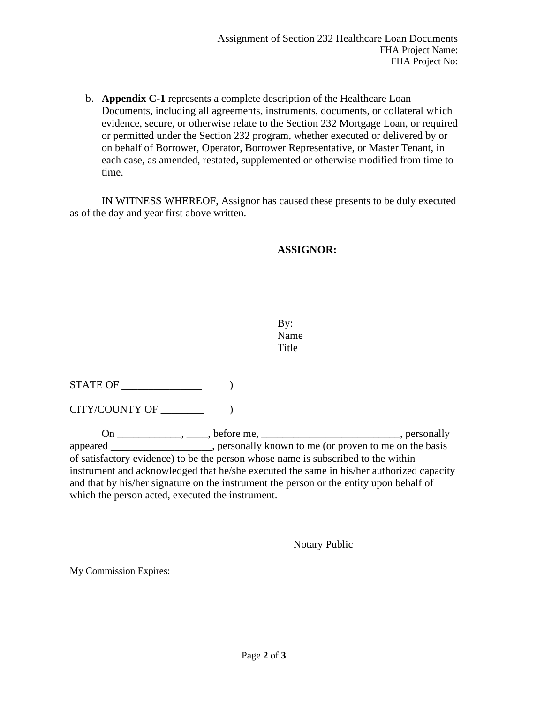b. **Appendix C-1** represents a complete description of the Healthcare Loan Documents, including all agreements, instruments, documents, or collateral which evidence, secure, or otherwise relate to the Section 232 Mortgage Loan, or required or permitted under the Section 232 program, whether executed or delivered by or on behalf of Borrower, Operator, Borrower Representative, or Master Tenant, in each case, as amended, restated, supplemented or otherwise modified from time to time.

IN WITNESS WHEREOF, Assignor has caused these presents to be duly executed as of the day and year first above written.

## **ASSIGNOR:**

 $STATE OF$   $()$ 

CITY/COUNTY OF \_\_\_\_\_\_\_\_ )

On  $\_\_\_\_\_\_\_\_\_\_\_\_\_\_\_\_\_\_\_\_$  before me,  $\_\_\_\_\_\_\_\_\_\_\_\_\_\_\_\_\_\_\_\_\_\_\_\_\_\_\_\_\_\_$  personally appeared \_\_\_\_\_\_\_\_\_\_\_\_\_\_\_\_\_\_\_, personally known to me (or proven to me on the basis of satisfactory evidence) to be the person whose name is subscribed to the within instrument and acknowledged that he/she executed the same in his/her authorized capacity and that by his/her signature on the instrument the person or the entity upon behalf of which the person acted, executed the instrument.

Notary Public

\_\_\_\_\_\_\_\_\_\_\_\_\_\_\_\_\_\_\_\_\_\_\_\_\_\_\_\_\_

My Commission Expires: